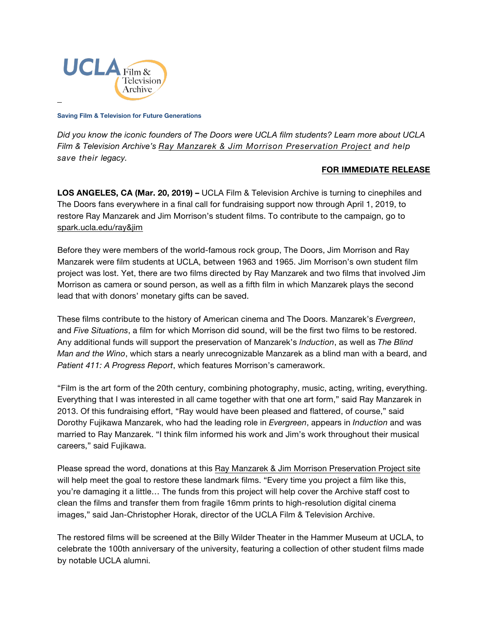

**Saving Film & Television for Future Generations**

*Did you know the iconic founders of The Doors were UCLA film students? Learn more about UCLA Film & Television Archive's Ray Manzarek & [Jim Morrison Preservation Project](https://spark.ucla.edu/project/14321) and help save their legacy.*

## **FOR IMMEDIATE RELEASE**

**LOS ANGELES, CA (Mar. 20, 2019) –** UCLA Film & Television Archive is turning to cinephiles and The Doors fans everywhere in a final call for fundraising support now through April 1, 2019, to restore Ray Manzarek and Jim Morrison's student films. To contribute to the campaign, go to [spark.ucla.edu/ray&jim](https://spark.ucla.edu/project/14321)

Before they were members of the world-famous rock group, The Doors, Jim Morrison and Ray Manzarek were film students at UCLA, between 1963 and 1965. Jim Morrison's own student film project was lost. Yet, there are two films directed by Ray Manzarek and two films that involved Jim Morrison as camera or sound person, as well as a fifth film in which Manzarek plays the second lead that with donors' monetary gifts can be saved.

These films contribute to the history of American cinema and The Doors. Manzarek's *Evergreen*, and *Five Situations*, a film for which Morrison did sound, will be the first two films to be restored. Any additional funds will support the preservation of Manzarek's *Induction*, as well as *The Blind Man and the Wino*, which stars a nearly unrecognizable Manzarek as a blind man with a beard, and *Patient 411: A Progress Report*, which features Morrison's camerawork.

"Film is the art form of the 20th century, combining photography, music, acting, writing, everything. Everything that I was interested in all came together with that one art form," said Ray Manzarek in 2013. Of this fundraising effort, "Ray would have been pleased and flattered, of course," said Dorothy Fujikawa Manzarek, who had the leading role in *Evergreen*, appears in *Induction* and was married to Ray Manzarek. "I think film informed his work and Jim's work throughout their musical careers," said Fujikawa.

Please spread the word, donations at this [Ray Manzarek & Jim Morrison Preservation Project site](https://spark.ucla.edu/project/14321) will help meet the goal to restore these landmark films. "Every time you project a film like this, you're damaging it a little… The funds from this project will help cover the Archive staff cost to clean the films and transfer them from fragile 16mm prints to high-resolution digital cinema images," said Jan-Christopher Horak, director of the UCLA Film & Television Archive.

The restored films will be screened at the Billy Wilder Theater in the Hammer Museum at UCLA, to celebrate the 100th anniversary of the university, featuring a collection of other student films made by notable UCLA alumni.